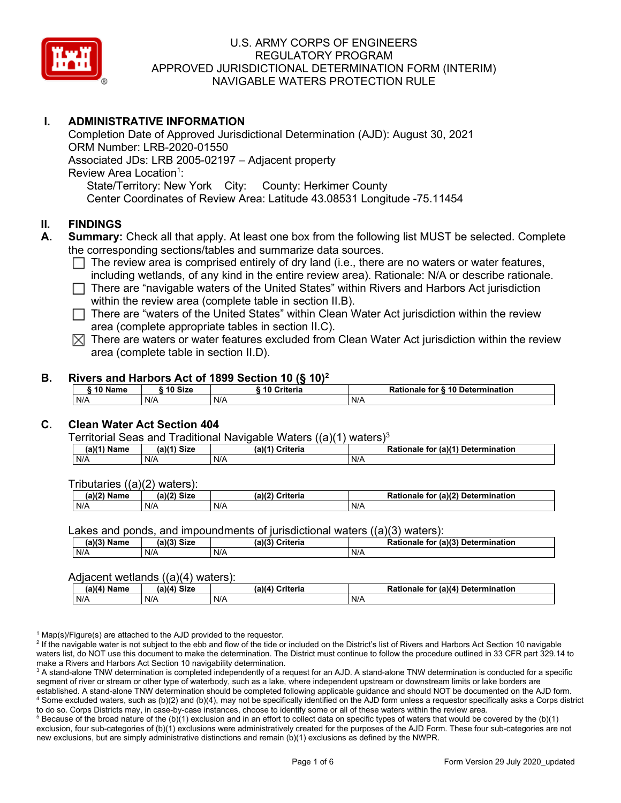

# **I. ADMINISTRATIVE INFORMATION**

Completion Date of Approved Jurisdictional Determination (AJD): August 30, 2021 ORM Number: LRB-2020-01550 Associated JDs: LRB 2005-02197 – Adjacent property Review Area Location<sup>1</sup>: State/Territory: New York City: County: Herkimer County Center Coordinates of Review Area: Latitude 43.08531 Longitude -75.11454

# **II. FINDINGS**

- **A. Summary:** Check all that apply. At least one box from the following list MUST be selected. Complete the corresponding sections/tables and summarize data sources.
	- $\Box$  The review area is comprised entirely of dry land (i.e., there are no waters or water features, including wetlands, of any kind in the entire review area). Rationale: N/A or describe rationale.
	- $\Box$  There are "navigable waters of the United States" within Rivers and Harbors Act jurisdiction within the review area (complete table in section II.B).
	- $\Box$  There are "waters of the United States" within Clean Water Act jurisdiction within the review area (complete appropriate tables in section II.C).
	- $\boxtimes$  There are waters or water features excluded from Clean Water Act jurisdiction within the review area (complete table in section II.D).

#### **B. Rivers and Harbors Act of 1899 Section 10 (§ 10)2**

|     | ົ 10 Name |     | ົ 10 Size | Criteria<br>. 1 U |     | Rationale for § 10 Determination |  |
|-----|-----------|-----|-----------|-------------------|-----|----------------------------------|--|
| N/A |           | N/A |           | N/A               | N/A |                                  |  |

# **C. Clean Water Act Section 404**

Territorial Seas and Traditional Navigable Waters  $((a)(1)$  waters)<sup>3</sup>

| $(a)(1)$ .<br>Name | $(a)$ $(4)$<br>Size | (a)<br>Criteria | (a)(1) Determination<br>Rationale<br>for |
|--------------------|---------------------|-----------------|------------------------------------------|
| N/A                | N/A                 | N/A             | N/A                                      |

Tributaries ((a)(2) waters):

| н   | $\sim$<br>$\sim$ Cime<br>JILE | 21/2<br><br>пе | (2)<br><b>Determination</b><br>TOI<br>naie |
|-----|-------------------------------|----------------|--------------------------------------------|
| N/A | N/A                           | N/A            | N/A                                        |

Lakes and ponds, and impoundments of jurisdictional waters  $((a)(3)$  waters):

| (a)(3) Name | (a)(3) Size | (a)(?') | Criteria | <b>Rationale</b><br>for | $\mathcal{L}$ (a)(?)<br>Determination |
|-------------|-------------|---------|----------|-------------------------|---------------------------------------|
| N/A         | N/A         | N/A     |          | N/A                     |                                       |

#### Adjacent wetlands ((a)(4) waters):

|               | .           | .               |                                    |
|---------------|-------------|-----------------|------------------------------------|
| $(a)(4)$ Name | (a)(4) Size | (a)(4) Criteria | Rationale for (a)(4) Determination |
| N/A           | N/f         | N/A             | N/A                                |

 $1$  Map(s)/Figure(s) are attached to the AJD provided to the requestor.

<sup>2</sup> If the navigable water is not subject to the ebb and flow of the tide or included on the District's list of Rivers and Harbors Act Section 10 navigable waters list, do NOT use this document to make the determination. The District must continue to follow the procedure outlined in 33 CFR part 329.14 to make a Rivers and Harbors Act Section 10 navigability determination.

<sup>3</sup> A stand-alone TNW determination is completed independently of a request for an AJD. A stand-alone TNW determination is conducted for a specific segment of river or stream or other type of waterbody, such as a lake, where independent upstream or downstream limits or lake borders are established. A stand-alone TNW determination should be completed following applicable guidance and should NOT be documented on the AJD form. <sup>4</sup> Some excluded waters, such as (b)(2) and (b)(4), may not be specifically identified on the AJD form unless a requestor specifically asks a Corps district to do so. Corps Districts may, in case-by-case instances, choose to identify some or all of these waters within the review area.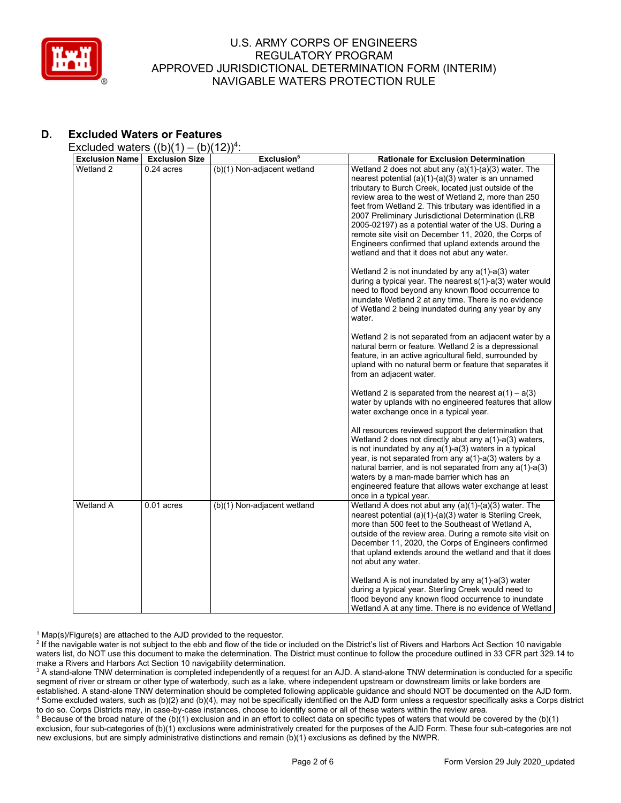

# **D. Excluded Waters or Features**

Excluded waters  $((b)(1) - (b)(12))^4$ :

| <b>Exclusion Name</b> | <b>Exclusion Size</b> | Exclusion <sup>5</sup>      | <b>Rationale for Exclusion Determination</b>                                                                                                                                                                                                                                                                                                                                                                                                                                                                                                                       |
|-----------------------|-----------------------|-----------------------------|--------------------------------------------------------------------------------------------------------------------------------------------------------------------------------------------------------------------------------------------------------------------------------------------------------------------------------------------------------------------------------------------------------------------------------------------------------------------------------------------------------------------------------------------------------------------|
| Wetland 2             | $0.24$ acres          | (b)(1) Non-adjacent wetland | Wetland 2 does not abut any (a)(1)-(a)(3) water. The<br>nearest potential (a)(1)-(a)(3) water is an unnamed<br>tributary to Burch Creek, located just outside of the<br>review area to the west of Wetland 2, more than 250<br>feet from Wetland 2. This tributary was identified in a<br>2007 Preliminary Jurisdictional Determination (LRB<br>2005-02197) as a potential water of the US. During a<br>remote site visit on December 11, 2020, the Corps of<br>Engineers confirmed that upland extends around the<br>wetland and that it does not abut any water. |
|                       |                       |                             | Wetland 2 is not inundated by any $a(1)$ -a(3) water<br>during a typical year. The nearest $s(1)$ -a(3) water would<br>need to flood beyond any known flood occurrence to<br>inundate Wetland 2 at any time. There is no evidence<br>of Wetland 2 being inundated during any year by any<br>water.                                                                                                                                                                                                                                                                 |
|                       |                       |                             | Wetland 2 is not separated from an adjacent water by a<br>natural berm or feature. Wetland 2 is a depressional<br>feature, in an active agricultural field, surrounded by<br>upland with no natural berm or feature that separates it<br>from an adjacent water.                                                                                                                                                                                                                                                                                                   |
|                       |                       |                             | Wetland 2 is separated from the nearest $a(1) - a(3)$<br>water by uplands with no engineered features that allow<br>water exchange once in a typical year.                                                                                                                                                                                                                                                                                                                                                                                                         |
|                       |                       |                             | All resources reviewed support the determination that<br>Wetland 2 does not directly abut any $a(1)$ - $a(3)$ waters,<br>is not inundated by any $a(1)$ - $a(3)$ waters in a typical<br>year, is not separated from any $a(1)$ -a(3) waters by a<br>natural barrier, and is not separated from any a(1)-a(3)<br>waters by a man-made barrier which has an<br>engineered feature that allows water exchange at least<br>once in a typical year.                                                                                                                     |
| <b>Wetland A</b>      | $0.01$ acres          | (b)(1) Non-adjacent wetland | Wetland A does not abut any $(a)(1)-(a)(3)$ water. The<br>nearest potential (a)(1)-(a)(3) water is Sterling Creek,<br>more than 500 feet to the Southeast of Wetland A.<br>outside of the review area. During a remote site visit on<br>December 11, 2020, the Corps of Engineers confirmed<br>that upland extends around the wetland and that it does<br>not abut any water.                                                                                                                                                                                      |
|                       |                       |                             | Wetland A is not inundated by any $a(1)$ -a(3) water<br>during a typical year. Sterling Creek would need to<br>flood beyond any known flood occurrence to inundate<br>Wetland A at any time. There is no evidence of Wetland                                                                                                                                                                                                                                                                                                                                       |

 $1$  Map(s)/Figure(s) are attached to the AJD provided to the requestor.

<sup>2</sup> If the navigable water is not subject to the ebb and flow of the tide or included on the District's list of Rivers and Harbors Act Section 10 navigable waters list, do NOT use this document to make the determination. The District must continue to follow the procedure outlined in 33 CFR part 329.14 to make a Rivers and Harbors Act Section 10 navigability determination.

<sup>3</sup> A stand-alone TNW determination is completed independently of a request for an AJD. A stand-alone TNW determination is conducted for a specific segment of river or stream or other type of waterbody, such as a lake, where independent upstream or downstream limits or lake borders are established. A stand-alone TNW determination should be completed following applicable guidance and should NOT be documented on the AJD form. <sup>4</sup> Some excluded waters, such as (b)(2) and (b)(4), may not be specifically identified on the AJD form unless a requestor specifically asks a Corps district to do so. Corps Districts may, in case-by-case instances, choose to identify some or all of these waters within the review area.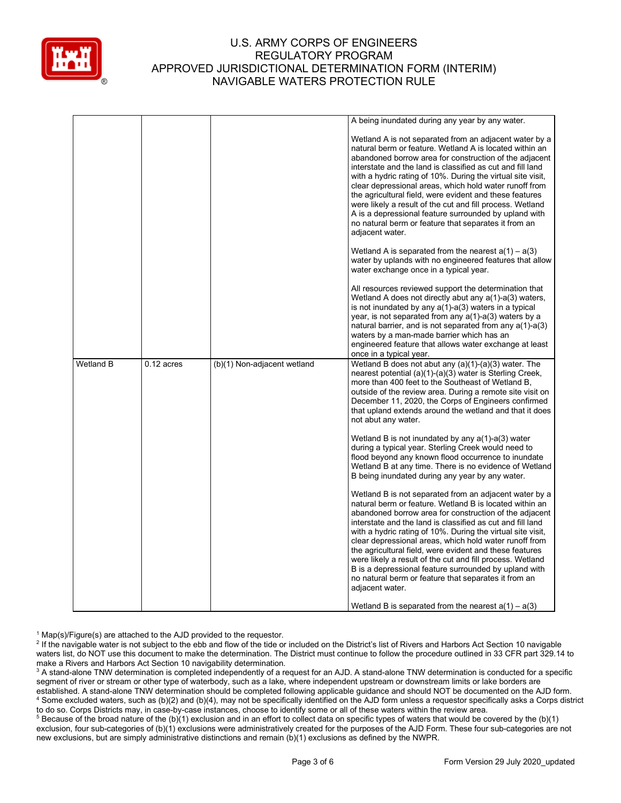

|                  |              |                             | A being inundated during any year by any water.                                                                                                                                                                                                                                                                                                                                                                                                                                                                                                                                                                                |
|------------------|--------------|-----------------------------|--------------------------------------------------------------------------------------------------------------------------------------------------------------------------------------------------------------------------------------------------------------------------------------------------------------------------------------------------------------------------------------------------------------------------------------------------------------------------------------------------------------------------------------------------------------------------------------------------------------------------------|
|                  |              |                             |                                                                                                                                                                                                                                                                                                                                                                                                                                                                                                                                                                                                                                |
|                  |              |                             | Wetland A is not separated from an adjacent water by a<br>natural berm or feature. Wetland A is located within an<br>abandoned borrow area for construction of the adjacent<br>interstate and the land is classified as cut and fill land<br>with a hydric rating of 10%. During the virtual site visit,<br>clear depressional areas, which hold water runoff from<br>the agricultural field, were evident and these features<br>were likely a result of the cut and fill process. Wetland<br>A is a depressional feature surrounded by upland with<br>no natural berm or feature that separates it from an<br>adjacent water. |
|                  |              |                             | Wetland A is separated from the nearest $a(1) - a(3)$<br>water by uplands with no engineered features that allow<br>water exchange once in a typical year.                                                                                                                                                                                                                                                                                                                                                                                                                                                                     |
|                  |              |                             | All resources reviewed support the determination that<br>Wetland A does not directly abut any a(1)-a(3) waters,<br>is not inundated by any $a(1)$ - $a(3)$ waters in a typical<br>year, is not separated from any $a(1)$ -a(3) waters by a<br>natural barrier, and is not separated from any $a(1)$ -a(3)<br>waters by a man-made barrier which has an<br>engineered feature that allows water exchange at least<br>once in a typical year.                                                                                                                                                                                    |
| <b>Wetland B</b> | $0.12$ acres | (b)(1) Non-adjacent wetland | Wetland B does not abut any (a)(1)-(a)(3) water. The<br>nearest potential (a)(1)-(a)(3) water is Sterling Creek,<br>more than 400 feet to the Southeast of Wetland B.<br>outside of the review area. During a remote site visit on<br>December 11, 2020, the Corps of Engineers confirmed<br>that upland extends around the wetland and that it does<br>not abut any water.                                                                                                                                                                                                                                                    |
|                  |              |                             | Wetland B is not inundated by any $a(1)$ -a(3) water<br>during a typical year. Sterling Creek would need to<br>flood beyond any known flood occurrence to inundate<br>Wetland B at any time. There is no evidence of Wetland<br>B being inundated during any year by any water.                                                                                                                                                                                                                                                                                                                                                |
|                  |              |                             | Wetland B is not separated from an adjacent water by a<br>natural berm or feature. Wetland B is located within an<br>abandoned borrow area for construction of the adjacent<br>interstate and the land is classified as cut and fill land<br>with a hydric rating of 10%. During the virtual site visit,<br>clear depressional areas, which hold water runoff from<br>the agricultural field, were evident and these features<br>were likely a result of the cut and fill process. Wetland<br>B is a depressional feature surrounded by upland with<br>no natural berm or feature that separates it from an<br>adjacent water. |
|                  |              |                             | Wetland B is separated from the nearest $a(1) - a(3)$                                                                                                                                                                                                                                                                                                                                                                                                                                                                                                                                                                          |

 $1$  Map(s)/Figure(s) are attached to the AJD provided to the requestor.

<sup>2</sup> If the navigable water is not subject to the ebb and flow of the tide or included on the District's list of Rivers and Harbors Act Section 10 navigable waters list, do NOT use this document to make the determination. The District must continue to follow the procedure outlined in 33 CFR part 329.14 to make a Rivers and Harbors Act Section 10 navigability determination.

<sup>3</sup> A stand-alone TNW determination is completed independently of a request for an AJD. A stand-alone TNW determination is conducted for a specific segment of river or stream or other type of waterbody, such as a lake, where independent upstream or downstream limits or lake borders are established. A stand-alone TNW determination should be completed following applicable guidance and should NOT be documented on the AJD form. <sup>4</sup> Some excluded waters, such as (b)(2) and (b)(4), may not be specifically identified on the AJD form unless a requestor specifically asks a Corps district to do so. Corps Districts may, in case-by-case instances, choose to identify some or all of these waters within the review area.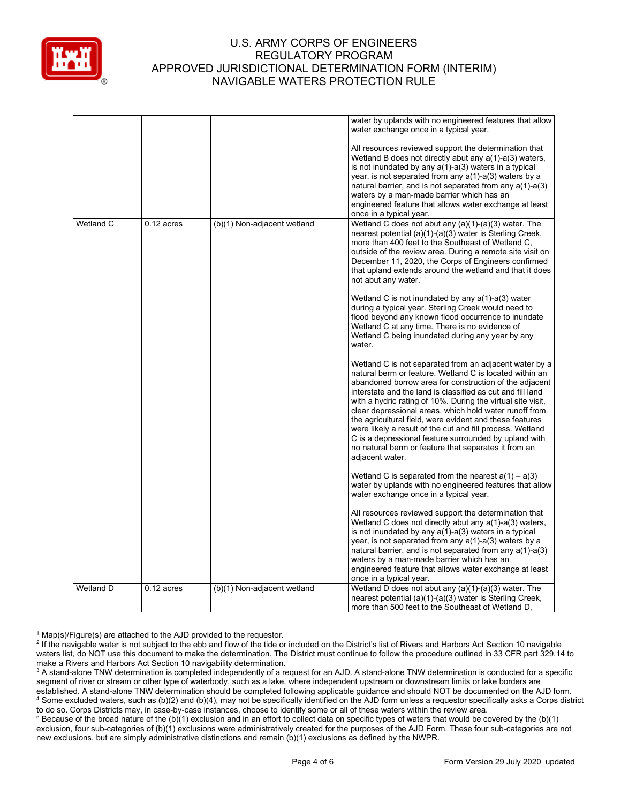

|           |              |                             | water by uplands with no engineered features that allow<br>water exchange once in a typical year.                                                                                                                                                                                                                                                                                                                                                                                                                                                                                                                              |
|-----------|--------------|-----------------------------|--------------------------------------------------------------------------------------------------------------------------------------------------------------------------------------------------------------------------------------------------------------------------------------------------------------------------------------------------------------------------------------------------------------------------------------------------------------------------------------------------------------------------------------------------------------------------------------------------------------------------------|
|           |              |                             | All resources reviewed support the determination that<br>Wetland B does not directly abut any a(1)-a(3) waters,<br>is not inundated by any $a(1)$ - $a(3)$ waters in a typical<br>year, is not separated from any a(1)-a(3) waters by a<br>natural barrier, and is not separated from any $a(1)$ -a(3)<br>waters by a man-made barrier which has an<br>engineered feature that allows water exchange at least<br>once in a typical year.                                                                                                                                                                                       |
| Wetland C | $0.12$ acres | (b)(1) Non-adjacent wetland | Wetland C does not abut any (a)(1)-(a)(3) water. The<br>nearest potential (a)(1)-(a)(3) water is Sterling Creek,<br>more than 400 feet to the Southeast of Wetland C.<br>outside of the review area. During a remote site visit on<br>December 11, 2020, the Corps of Engineers confirmed<br>that upland extends around the wetland and that it does<br>not abut any water.                                                                                                                                                                                                                                                    |
|           |              |                             | Wetland C is not inundated by any a(1)-a(3) water<br>during a typical year. Sterling Creek would need to<br>flood beyond any known flood occurrence to inundate<br>Wetland C at any time. There is no evidence of<br>Wetland C being inundated during any year by any<br>water.                                                                                                                                                                                                                                                                                                                                                |
|           |              |                             | Wetland C is not separated from an adjacent water by a<br>natural berm or feature. Wetland C is located within an<br>abandoned borrow area for construction of the adjacent<br>interstate and the land is classified as cut and fill land<br>with a hydric rating of 10%. During the virtual site visit,<br>clear depressional areas, which hold water runoff from<br>the agricultural field, were evident and these features<br>were likely a result of the cut and fill process. Wetland<br>C is a depressional feature surrounded by upland with<br>no natural berm or feature that separates it from an<br>adjacent water. |
|           |              |                             | Wetland C is separated from the nearest $a(1) - a(3)$<br>water by uplands with no engineered features that allow<br>water exchange once in a typical year.                                                                                                                                                                                                                                                                                                                                                                                                                                                                     |
|           |              |                             | All resources reviewed support the determination that<br>Wetland C does not directly abut any a(1)-a(3) waters,<br>is not inundated by any $a(1)$ - $a(3)$ waters in a typical<br>year, is not separated from any $a(1)$ -a(3) waters by a<br>natural barrier, and is not separated from any $a(1)$ -a(3)<br>waters by a man-made barrier which has an<br>engineered feature that allows water exchange at least<br>once in a typical year.                                                                                                                                                                                    |
| Wetland D | $0.12$ acres | (b)(1) Non-adjacent wetland | Wetland D does not abut any $(a)(1)-(a)(3)$ water. The<br>nearest potential (a)(1)-(a)(3) water is Sterling Creek,<br>more than 500 feet to the Southeast of Wetland D.                                                                                                                                                                                                                                                                                                                                                                                                                                                        |

 $1$  Map(s)/Figure(s) are attached to the AJD provided to the requestor.

<sup>&</sup>lt;sup>2</sup> If the navigable water is not subject to the ebb and flow of the tide or included on the District's list of Rivers and Harbors Act Section 10 navigable waters list, do NOT use this document to make the determination. The District must continue to follow the procedure outlined in 33 CFR part 329.14 to make a Rivers and Harbors Act Section 10 navigability determination.

<sup>&</sup>lt;sup>3</sup> A stand-alone TNW determination is completed independently of a request for an AJD. A stand-alone TNW determination is conducted for a specific segment of river or stream or other type of waterbody, such as a lake, where independent upstream or downstream limits or lake borders are established. A stand-alone TNW determination should be completed following applicable guidance and should NOT be documented on the AJD form. <sup>4</sup> Some excluded waters, such as (b)(2) and (b)(4), may not be specifically identified on the AJD form unless a requestor specifically asks a Corps district to do so. Corps Districts may, in case-by-case instances, choose to identify some or all of these waters within the review area.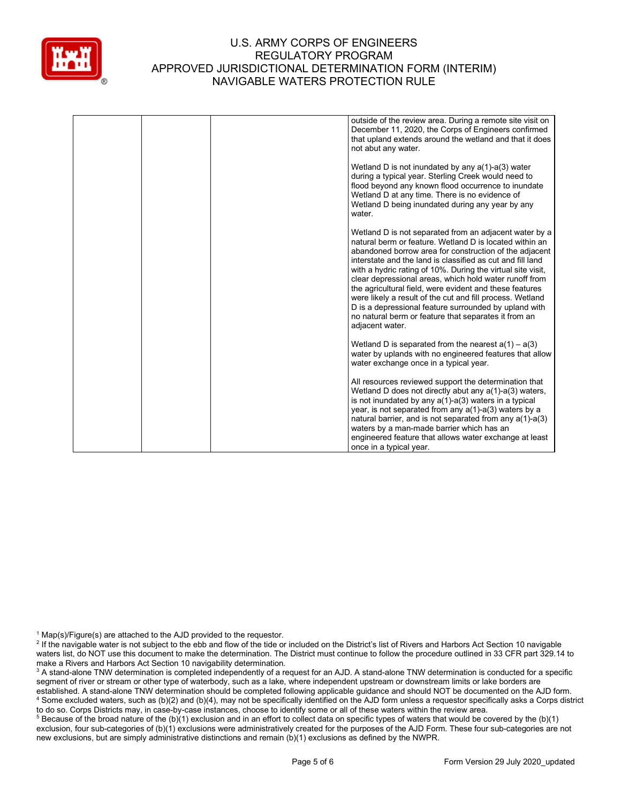

|  | outside of the review area. During a remote site visit on<br>December 11, 2020, the Corps of Engineers confirmed<br>that upland extends around the wetland and that it does<br>not abut any water.                                                                                                                                                                                                                                                                                                                                                                                                                             |
|--|--------------------------------------------------------------------------------------------------------------------------------------------------------------------------------------------------------------------------------------------------------------------------------------------------------------------------------------------------------------------------------------------------------------------------------------------------------------------------------------------------------------------------------------------------------------------------------------------------------------------------------|
|  | Wetland D is not inundated by any $a(1)$ - $a(3)$ water<br>during a typical year. Sterling Creek would need to<br>flood beyond any known flood occurrence to inundate<br>Wetland D at any time. There is no evidence of<br>Wetland D being inundated during any year by any<br>water.                                                                                                                                                                                                                                                                                                                                          |
|  | Wetland D is not separated from an adjacent water by a<br>natural berm or feature. Wetland D is located within an<br>abandoned borrow area for construction of the adjacent<br>interstate and the land is classified as cut and fill land<br>with a hydric rating of 10%. During the virtual site visit,<br>clear depressional areas, which hold water runoff from<br>the agricultural field, were evident and these features<br>were likely a result of the cut and fill process. Wetland<br>D is a depressional feature surrounded by upland with<br>no natural berm or feature that separates it from an<br>adjacent water. |
|  | Wetland D is separated from the nearest $a(1) - a(3)$<br>water by uplands with no engineered features that allow<br>water exchange once in a typical year.                                                                                                                                                                                                                                                                                                                                                                                                                                                                     |
|  | All resources reviewed support the determination that<br>Wetland D does not directly abut any $a(1)$ -a(3) waters,<br>is not inundated by any $a(1)$ - $a(3)$ waters in a typical<br>year, is not separated from any $a(1)$ -a(3) waters by a<br>natural barrier, and is not separated from any a(1)-a(3)<br>waters by a man-made barrier which has an<br>engineered feature that allows water exchange at least<br>once in a typical year.                                                                                                                                                                                    |

 $1$  Map(s)/Figure(s) are attached to the AJD provided to the requestor.

<sup>&</sup>lt;sup>2</sup> If the navigable water is not subject to the ebb and flow of the tide or included on the District's list of Rivers and Harbors Act Section 10 navigable waters list, do NOT use this document to make the determination. The District must continue to follow the procedure outlined in 33 CFR part 329.14 to make a Rivers and Harbors Act Section 10 navigability determination.

<sup>&</sup>lt;sup>3</sup> A stand-alone TNW determination is completed independently of a request for an AJD. A stand-alone TNW determination is conducted for a specific segment of river or stream or other type of waterbody, such as a lake, where independent upstream or downstream limits or lake borders are established. A stand-alone TNW determination should be completed following applicable guidance and should NOT be documented on the AJD form. <sup>4</sup> Some excluded waters, such as (b)(2) and (b)(4), may not be specifically identified on the AJD form unless a requestor specifically asks a Corps district to do so. Corps Districts may, in case-by-case instances, choose to identify some or all of these waters within the review area.